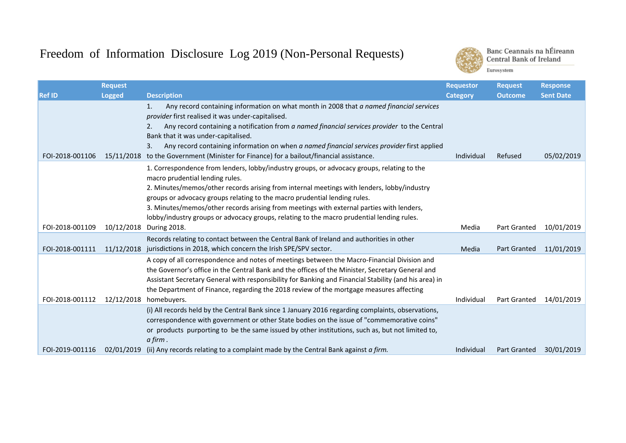## Freedom of Information Disclosure Log 2019 (Non-Personal Requests)



Banc Ceannais na hÉireann **Central Bank of Ireland** Eurosystem

|                 | <b>Request</b> |                                                                                                                                                                                                 | <b>Requestor</b> | <b>Request</b>      | <b>Response</b>  |
|-----------------|----------------|-------------------------------------------------------------------------------------------------------------------------------------------------------------------------------------------------|------------------|---------------------|------------------|
| <b>Ref ID</b>   | <b>Logged</b>  | <b>Description</b>                                                                                                                                                                              | <b>Category</b>  | <b>Outcome</b>      | <b>Sent Date</b> |
|                 |                | Any record containing information on what month in 2008 that a named financial services<br>1.                                                                                                   |                  |                     |                  |
|                 |                | provider first realised it was under-capitalised.                                                                                                                                               |                  |                     |                  |
|                 |                | Any record containing a notification from a named financial services provider to the Central<br>2.                                                                                              |                  |                     |                  |
|                 |                | Bank that it was under-capitalised.                                                                                                                                                             |                  |                     |                  |
| FOI-2018-001106 | 15/11/2018     | Any record containing information on when a named financial services provider first applied<br>3.                                                                                               | Individual       | Refused             | 05/02/2019       |
|                 |                | to the Government (Minister for Finance) for a bailout/financial assistance.                                                                                                                    |                  |                     |                  |
|                 |                | 1. Correspondence from lenders, lobby/industry groups, or advocacy groups, relating to the                                                                                                      |                  |                     |                  |
|                 |                | macro prudential lending rules.<br>2. Minutes/memos/other records arising from internal meetings with lenders, lobby/industry                                                                   |                  |                     |                  |
|                 |                | groups or advocacy groups relating to the macro prudential lending rules.                                                                                                                       |                  |                     |                  |
|                 |                | 3. Minutes/memos/other records arising from meetings with external parties with lenders,                                                                                                        |                  |                     |                  |
|                 |                | lobby/industry groups or advocacy groups, relating to the macro prudential lending rules.                                                                                                       |                  |                     |                  |
| FOI-2018-001109 | 10/12/2018     | During 2018.                                                                                                                                                                                    | Media            | <b>Part Granted</b> | 10/01/2019       |
|                 |                | Records relating to contact between the Central Bank of Ireland and authorities in other                                                                                                        |                  |                     |                  |
| FOI-2018-001111 |                | 11/12/2018 jurisdictions in 2018, which concern the Irish SPE/SPV sector.                                                                                                                       | Media            | <b>Part Granted</b> | 11/01/2019       |
|                 |                | A copy of all correspondence and notes of meetings between the Macro-Financial Division and                                                                                                     |                  |                     |                  |
|                 |                | the Governor's office in the Central Bank and the offices of the Minister, Secretary General and                                                                                                |                  |                     |                  |
|                 |                | Assistant Secretary General with responsibility for Banking and Financial Stability (and his area) in                                                                                           |                  |                     |                  |
|                 |                | the Department of Finance, regarding the 2018 review of the mortgage measures affecting                                                                                                         |                  |                     |                  |
| FOI-2018-001112 | 12/12/2018     | homebuyers.                                                                                                                                                                                     | Individual       | <b>Part Granted</b> | 14/01/2019       |
|                 |                | (i) All records held by the Central Bank since 1 January 2016 regarding complaints, observations,<br>correspondence with government or other State bodies on the issue of "commemorative coins" |                  |                     |                  |
|                 |                | or products purporting to be the same issued by other institutions, such as, but not limited to,                                                                                                |                  |                     |                  |
|                 |                | a firm.                                                                                                                                                                                         |                  |                     |                  |
| FOI-2019-001116 | 02/01/2019     | (ii) Any records relating to a complaint made by the Central Bank against a firm.                                                                                                               | Individual       | <b>Part Granted</b> | 30/01/2019       |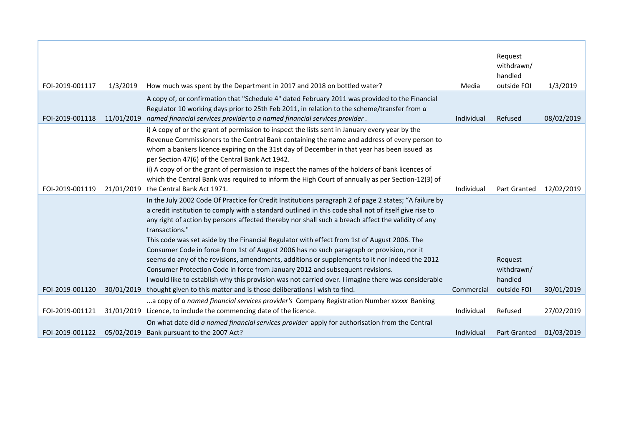| FOI-2019-001117 | 1/3/2019   | How much was spent by the Department in 2017 and 2018 on bottled water?                                                                                                                                                                                                                                                                                                                                                                                                                                                                                                                                                                                                                                                                                                                                                     | Media      | Request<br>withdrawn/<br>handled<br>outside FOI | 1/3/2019   |
|-----------------|------------|-----------------------------------------------------------------------------------------------------------------------------------------------------------------------------------------------------------------------------------------------------------------------------------------------------------------------------------------------------------------------------------------------------------------------------------------------------------------------------------------------------------------------------------------------------------------------------------------------------------------------------------------------------------------------------------------------------------------------------------------------------------------------------------------------------------------------------|------------|-------------------------------------------------|------------|
| FOI-2019-001118 | 11/01/2019 | A copy of, or confirmation that "Schedule 4" dated February 2011 was provided to the Financial<br>Regulator 10 working days prior to 25th Feb 2011, in relation to the scheme/transfer from a<br>named financial services provider to a named financial services provider.                                                                                                                                                                                                                                                                                                                                                                                                                                                                                                                                                  | Individual | Refused                                         | 08/02/2019 |
| FOI-2019-001119 | 21/01/2019 | i) A copy of or the grant of permission to inspect the lists sent in January every year by the<br>Revenue Commissioners to the Central Bank containing the name and address of every person to<br>whom a bankers licence expiring on the 31st day of December in that year has been issued as<br>per Section 47(6) of the Central Bank Act 1942.<br>ii) A copy of or the grant of permission to inspect the names of the holders of bank licences of<br>which the Central Bank was required to inform the High Court of annually as per Section-12(3) of<br>the Central Bank Act 1971.                                                                                                                                                                                                                                      | Individual | <b>Part Granted</b>                             | 12/02/2019 |
|                 |            | In the July 2002 Code Of Practice for Credit Institutions paragraph 2 of page 2 states; "A failure by<br>a credit institution to comply with a standard outlined in this code shall not of itself give rise to<br>any right of action by persons affected thereby nor shall such a breach affect the validity of any<br>transactions."<br>This code was set aside by the Financial Regulator with effect from 1st of August 2006. The<br>Consumer Code in force from 1st of August 2006 has no such paragraph or provision, nor it<br>seems do any of the revisions, amendments, additions or supplements to it nor indeed the 2012<br>Consumer Protection Code in force from January 2012 and subsequent revisions.<br>I would like to establish why this provision was not carried over. I imagine there was considerable |            | Request<br>withdrawn/<br>handled                |            |
| FOI-2019-001120 | 30/01/2019 | thought given to this matter and is those deliberations I wish to find.                                                                                                                                                                                                                                                                                                                                                                                                                                                                                                                                                                                                                                                                                                                                                     | Commercial | outside FOI                                     | 30/01/2019 |
| FOI-2019-001121 | 31/01/2019 | a copy of a named financial services provider's Company Registration Number xxxxx Banking<br>Licence, to include the commencing date of the licence.                                                                                                                                                                                                                                                                                                                                                                                                                                                                                                                                                                                                                                                                        | Individual | Refused                                         | 27/02/2019 |
| FOI-2019-001122 | 05/02/2019 | On what date did a named financial services provider apply for authorisation from the Central<br>Bank pursuant to the 2007 Act?                                                                                                                                                                                                                                                                                                                                                                                                                                                                                                                                                                                                                                                                                             | Individual | <b>Part Granted</b>                             | 01/03/2019 |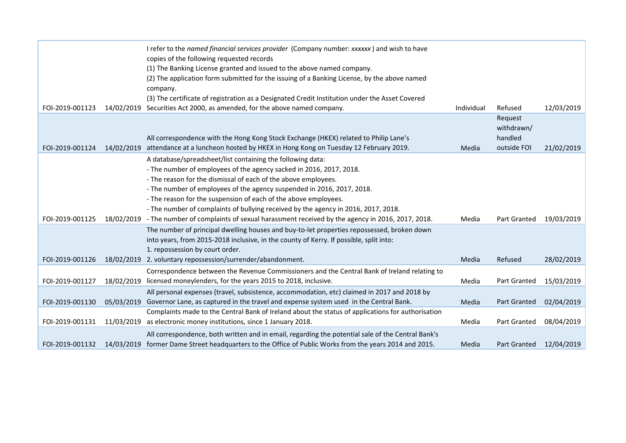|                 |            | I refer to the named financial services provider (Company number: xxxxxx) and wish to have<br>copies of the following requested records<br>(1) The Banking License granted and issued to the above named company.<br>(2) The application form submitted for the issuing of a Banking License, by the above named<br>company.<br>(3) The certificate of registration as a Designated Credit Institution under the Asset Covered         |            |                                                 |            |
|-----------------|------------|----------------------------------------------------------------------------------------------------------------------------------------------------------------------------------------------------------------------------------------------------------------------------------------------------------------------------------------------------------------------------------------------------------------------------------------|------------|-------------------------------------------------|------------|
| FOI-2019-001123 | 14/02/2019 | Securities Act 2000, as amended, for the above named company.                                                                                                                                                                                                                                                                                                                                                                          | Individual | Refused                                         | 12/03/2019 |
| FOI-2019-001124 | 14/02/2019 | All correspondence with the Hong Kong Stock Exchange (HKEX) related to Philip Lane's<br>attendance at a luncheon hosted by HKEX in Hong Kong on Tuesday 12 February 2019.                                                                                                                                                                                                                                                              | Media      | Request<br>withdrawn/<br>handled<br>outside FOI | 21/02/2019 |
|                 |            | A database/spreadsheet/list containing the following data:<br>- The number of employees of the agency sacked in 2016, 2017, 2018.<br>- The reason for the dismissal of each of the above employees.<br>- The number of employees of the agency suspended in 2016, 2017, 2018.<br>- The reason for the suspension of each of the above employees.<br>- The number of complaints of bullying received by the agency in 2016, 2017, 2018. |            |                                                 |            |
| FOI-2019-001125 | 18/02/2019 | - The number of complaints of sexual harassment received by the agency in 2016, 2017, 2018.                                                                                                                                                                                                                                                                                                                                            | Media      | Part Granted                                    | 19/03/2019 |
|                 |            | The number of principal dwelling houses and buy-to-let properties repossessed, broken down<br>into years, from 2015-2018 inclusive, in the county of Kerry. If possible, split into:<br>1. repossession by court order.                                                                                                                                                                                                                |            |                                                 |            |
| FOI-2019-001126 |            | 18/02/2019 2. voluntary repossession/surrender/abandonment.                                                                                                                                                                                                                                                                                                                                                                            | Media      | Refused                                         | 28/02/2019 |
| FOI-2019-001127 | 18/02/2019 | Correspondence between the Revenue Commissioners and the Central Bank of Ireland relating to<br>licensed moneylenders, for the years 2015 to 2018, inclusive.                                                                                                                                                                                                                                                                          | Media      | Part Granted                                    | 15/03/2019 |
|                 |            | All personal expenses (travel, subsistence, accommodation, etc) claimed in 2017 and 2018 by                                                                                                                                                                                                                                                                                                                                            |            |                                                 |            |
| FOI-2019-001130 | 05/03/2019 | Governor Lane, as captured in the travel and expense system used in the Central Bank.                                                                                                                                                                                                                                                                                                                                                  | Media      | <b>Part Granted</b>                             | 02/04/2019 |
| FOI-2019-001131 | 11/03/2019 | Complaints made to the Central Bank of Ireland about the status of applications for authorisation<br>as electronic money institutions, since 1 January 2018.                                                                                                                                                                                                                                                                           | Media      | Part Granted                                    | 08/04/2019 |
| FOI-2019-001132 |            | All correspondence, both written and in email, regarding the potential sale of the Central Bank's<br>14/03/2019 former Dame Street headquarters to the Office of Public Works from the years 2014 and 2015.                                                                                                                                                                                                                            | Media      | Part Granted                                    | 12/04/2019 |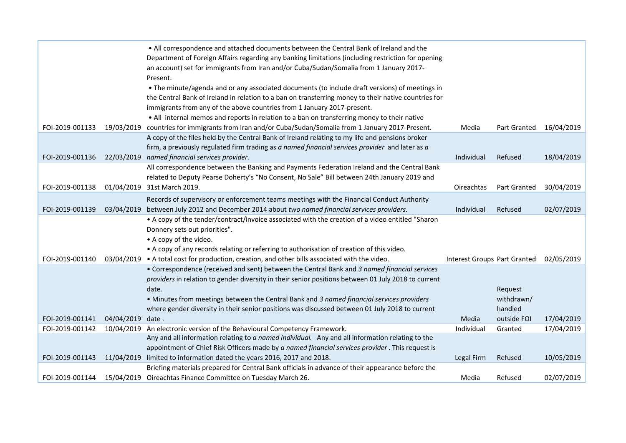|                 |            | . All correspondence and attached documents between the Central Bank of Ireland and the<br>Department of Foreign Affairs regarding any banking limitations (including restriction for opening |                                     |                     |            |
|-----------------|------------|-----------------------------------------------------------------------------------------------------------------------------------------------------------------------------------------------|-------------------------------------|---------------------|------------|
|                 |            | an account) set for immigrants from Iran and/or Cuba/Sudan/Somalia from 1 January 2017-<br>Present.                                                                                           |                                     |                     |            |
|                 |            | • The minute/agenda and or any associated documents (to include draft versions) of meetings in                                                                                                |                                     |                     |            |
|                 |            | the Central Bank of Ireland in relation to a ban on transferring money to their native countries for                                                                                          |                                     |                     |            |
|                 |            | immigrants from any of the above countries from 1 January 2017-present.<br>• All internal memos and reports in relation to a ban on transferring money to their native                        |                                     |                     |            |
| FOI-2019-001133 |            | 19/03/2019 countries for immigrants from Iran and/or Cuba/Sudan/Somalia from 1 January 2017-Present.                                                                                          | Media                               | Part Granted        | 16/04/2019 |
|                 |            | A copy of the files held by the Central Bank of Ireland relating to my life and pensions broker                                                                                               |                                     |                     |            |
|                 |            | firm, a previously regulated firm trading as a named financial services provider and later as a                                                                                               |                                     |                     |            |
| FOI-2019-001136 | 22/03/2019 | named financial services provider.                                                                                                                                                            | Individual                          | Refused             | 18/04/2019 |
|                 |            | All correspondence between the Banking and Payments Federation Ireland and the Central Bank                                                                                                   |                                     |                     |            |
|                 |            | related to Deputy Pearse Doherty's "No Consent, No Sale" Bill between 24th January 2019 and                                                                                                   |                                     |                     |            |
| FOI-2019-001138 |            | 01/04/2019 31st March 2019.                                                                                                                                                                   | Oireachtas                          | <b>Part Granted</b> | 30/04/2019 |
|                 |            | Records of supervisory or enforcement teams meetings with the Financial Conduct Authority                                                                                                     |                                     |                     |            |
| FOI-2019-001139 | 03/04/2019 | between July 2012 and December 2014 about two named financial services providers.                                                                                                             | Individual                          | Refused             | 02/07/2019 |
|                 |            | • A copy of the tender/contract/invoice associated with the creation of a video entitled "Sharon                                                                                              |                                     |                     |            |
|                 |            | Donnery sets out priorities".                                                                                                                                                                 |                                     |                     |            |
|                 |            | • A copy of the video.                                                                                                                                                                        |                                     |                     |            |
|                 |            | • A copy of any records relating or referring to authorisation of creation of this video.                                                                                                     |                                     |                     |            |
| FOI-2019-001140 | 03/04/2019 | • A total cost for production, creation, and other bills associated with the video.<br>• Correspondence (received and sent) between the Central Bank and 3 named financial services           | <b>Interest Groups Part Granted</b> |                     | 02/05/2019 |
|                 |            | providers in relation to gender diversity in their senior positions between 01 July 2018 to current                                                                                           |                                     |                     |            |
|                 |            | date.                                                                                                                                                                                         |                                     | Request             |            |
|                 |            | . Minutes from meetings between the Central Bank and 3 named financial services providers                                                                                                     |                                     | withdrawn/          |            |
|                 |            | where gender diversity in their senior positions was discussed between 01 July 2018 to current                                                                                                |                                     | handled             |            |
| FOI-2019-001141 | 04/04/2019 | date.                                                                                                                                                                                         | Media                               | outside FOI         | 17/04/2019 |
| FOI-2019-001142 | 10/04/2019 | An electronic version of the Behavioural Competency Framework.                                                                                                                                | Individual                          | Granted             | 17/04/2019 |
|                 |            | Any and all information relating to a named individual. Any and all information relating to the                                                                                               |                                     |                     |            |
|                 |            | appointment of Chief Risk Officers made by a named financial services provider . This request is                                                                                              |                                     |                     |            |
| FOI-2019-001143 | 11/04/2019 | limited to information dated the years 2016, 2017 and 2018.                                                                                                                                   | Legal Firm                          | Refused             | 10/05/2019 |
|                 |            | Briefing materials prepared for Central Bank officials in advance of their appearance before the                                                                                              |                                     |                     |            |
| FOI-2019-001144 |            | 15/04/2019 Oireachtas Finance Committee on Tuesday March 26.                                                                                                                                  | Media                               | Refused             | 02/07/2019 |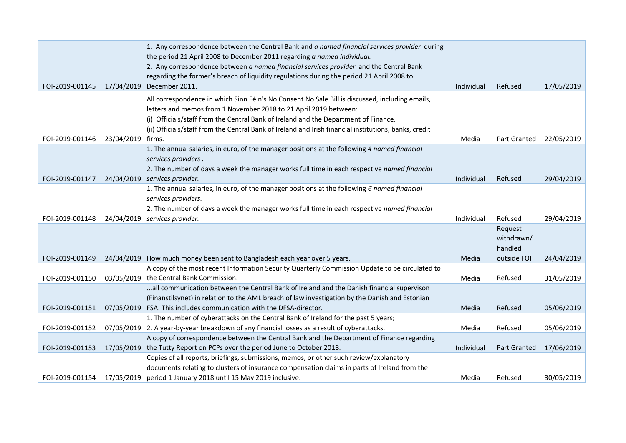|                 |            | 1. Any correspondence between the Central Bank and a named financial services provider during<br>the period 21 April 2008 to December 2011 regarding a named individual.                 |            |              |            |
|-----------------|------------|------------------------------------------------------------------------------------------------------------------------------------------------------------------------------------------|------------|--------------|------------|
|                 |            | 2. Any correspondence between a named financial services provider and the Central Bank                                                                                                   |            |              |            |
|                 |            | regarding the former's breach of liquidity regulations during the period 21 April 2008 to                                                                                                |            |              |            |
| FOI-2019-001145 |            | 17/04/2019 December 2011.                                                                                                                                                                | Individual | Refused      | 17/05/2019 |
|                 |            | All correspondence in which Sinn Féin's No Consent No Sale Bill is discussed, including emails,                                                                                          |            |              |            |
|                 |            | letters and memos from 1 November 2018 to 21 April 2019 between:                                                                                                                         |            |              |            |
|                 |            | (i) Officials/staff from the Central Bank of Ireland and the Department of Finance.                                                                                                      |            |              |            |
| FOI-2019-001146 | 23/04/2019 | (ii) Officials/staff from the Central Bank of Ireland and Irish financial institutions, banks, credit<br>firms.                                                                          | Media      | Part Granted | 22/05/2019 |
|                 |            | 1. The annual salaries, in euro, of the manager positions at the following 4 named financial                                                                                             |            |              |            |
|                 |            | services providers.                                                                                                                                                                      |            |              |            |
|                 |            | 2. The number of days a week the manager works full time in each respective named financial                                                                                              |            |              |            |
| FOI-2019-001147 |            | 24/04/2019 services provider.                                                                                                                                                            | Individual | Refused      | 29/04/2019 |
|                 |            | 1. The annual salaries, in euro, of the manager positions at the following 6 named financial                                                                                             |            |              |            |
|                 |            | services providers.                                                                                                                                                                      |            |              |            |
|                 |            | 2. The number of days a week the manager works full time in each respective named financial                                                                                              |            |              |            |
|                 |            |                                                                                                                                                                                          |            |              |            |
| FOI-2019-001148 |            | 24/04/2019 services provider.                                                                                                                                                            | Individual | Refused      | 29/04/2019 |
|                 |            |                                                                                                                                                                                          |            | Request      |            |
|                 |            |                                                                                                                                                                                          |            | withdrawn/   |            |
|                 |            |                                                                                                                                                                                          |            | handled      |            |
| FOI-2019-001149 |            | 24/04/2019 How much money been sent to Bangladesh each year over 5 years.                                                                                                                | Media      | outside FOI  | 24/04/2019 |
|                 |            | A copy of the most recent Information Security Quarterly Commission Update to be circulated to                                                                                           |            |              |            |
| FOI-2019-001150 |            | 03/05/2019 the Central Bank Commission.                                                                                                                                                  | Media      | Refused      | 31/05/2019 |
|                 |            | all communication between the Central Bank of Ireland and the Danish financial supervison                                                                                                |            |              |            |
|                 |            | (Finanstilsynet) in relation to the AML breach of law investigation by the Danish and Estonian                                                                                           |            |              |            |
| FOI-2019-001151 |            | 07/05/2019 FSA. This includes communication with the DFSA-director.                                                                                                                      | Media      | Refused      | 05/06/2019 |
| FOI-2019-001152 |            | 1. The number of cyberattacks on the Central Bank of Ireland for the past 5 years;                                                                                                       | Media      | Refused      |            |
|                 |            | 07/05/2019 2. A year-by-year breakdown of any financial losses as a result of cyberattacks.<br>A copy of correspondence between the Central Bank and the Department of Finance regarding |            |              | 05/06/2019 |
| FOI-2019-001153 |            | 17/05/2019 the Tutty Report on PCPs over the period June to October 2018.                                                                                                                | Individual | Part Granted | 17/06/2019 |
|                 |            | Copies of all reports, briefings, submissions, memos, or other such review/explanatory                                                                                                   |            |              |            |
|                 |            | documents relating to clusters of insurance compensation claims in parts of Ireland from the                                                                                             |            |              |            |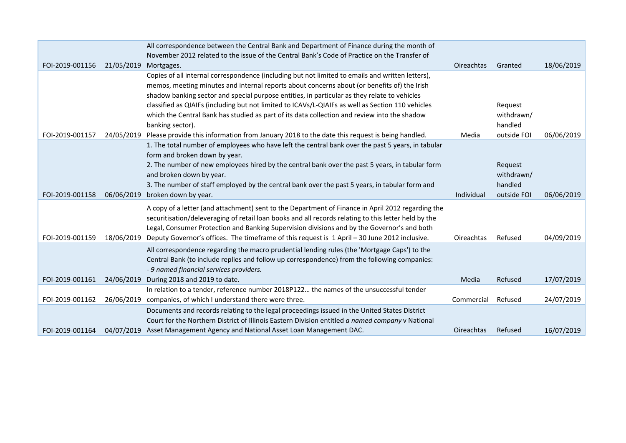|                 |            | All correspondence between the Central Bank and Department of Finance during the month of            |            |             |            |
|-----------------|------------|------------------------------------------------------------------------------------------------------|------------|-------------|------------|
|                 |            | November 2012 related to the issue of the Central Bank's Code of Practice on the Transfer of         |            |             |            |
| FOI-2019-001156 | 21/05/2019 | Mortgages.                                                                                           | Oireachtas | Granted     | 18/06/2019 |
|                 |            | Copies of all internal correspondence (including but not limited to emails and written letters),     |            |             |            |
|                 |            | memos, meeting minutes and internal reports about concerns about (or benefits of) the Irish          |            |             |            |
|                 |            | shadow banking sector and special purpose entities, in particular as they relate to vehicles         |            |             |            |
|                 |            | classified as QIAIFs (including but not limited to ICAVs/L-QIAIFs as well as Section 110 vehicles    |            | Request     |            |
|                 |            | which the Central Bank has studied as part of its data collection and review into the shadow         |            | withdrawn/  |            |
|                 |            | banking sector).                                                                                     |            | handled     |            |
| FOI-2019-001157 | 24/05/2019 | Please provide this information from January 2018 to the date this request is being handled.         | Media      | outside FOI | 06/06/2019 |
|                 |            | 1. The total number of employees who have left the central bank over the past 5 years, in tabular    |            |             |            |
|                 |            | form and broken down by year.                                                                        |            |             |            |
|                 |            | 2. The number of new employees hired by the central bank over the past 5 years, in tabular form      |            | Request     |            |
|                 |            | and broken down by year.                                                                             |            | withdrawn/  |            |
|                 |            | 3. The number of staff employed by the central bank over the past 5 years, in tabular form and       |            | handled     |            |
| FOI-2019-001158 | 06/06/2019 | broken down by year.                                                                                 | Individual | outside FOI | 06/06/2019 |
|                 |            | A copy of a letter (and attachment) sent to the Department of Finance in April 2012 regarding the    |            |             |            |
|                 |            | securitisation/deleveraging of retail loan books and all records relating to this letter held by the |            |             |            |
|                 |            | Legal, Consumer Protection and Banking Supervision divisions and by the Governor's and both          |            |             |            |
| FOI-2019-001159 | 18/06/2019 | Deputy Governor's offices. The timeframe of this request is 1 April - 30 June 2012 inclusive.        | Oireachtas | Refused     | 04/09/2019 |
|                 |            | All correspondence regarding the macro prudential lending rules (the 'Mortgage Caps') to the         |            |             |            |
|                 |            | Central Bank (to include replies and follow up correspondence) from the following companies:         |            |             |            |
|                 |            | - 9 named financial services providers.                                                              |            |             |            |
| FOI-2019-001161 | 24/06/2019 | During 2018 and 2019 to date.                                                                        | Media      | Refused     | 17/07/2019 |
|                 |            | In relation to a tender, reference number 2018P122 the names of the unsuccessful tender              |            |             |            |
| FOI-2019-001162 |            | 26/06/2019 companies, of which I understand there were three.                                        |            | Refused     | 24/07/2019 |
|                 |            |                                                                                                      | Commercial |             |            |
|                 |            | Documents and records relating to the legal proceedings issued in the United States District         |            |             |            |
|                 |            | Court for the Northern District of Illinois Eastern Division entitled a named company v National     |            |             |            |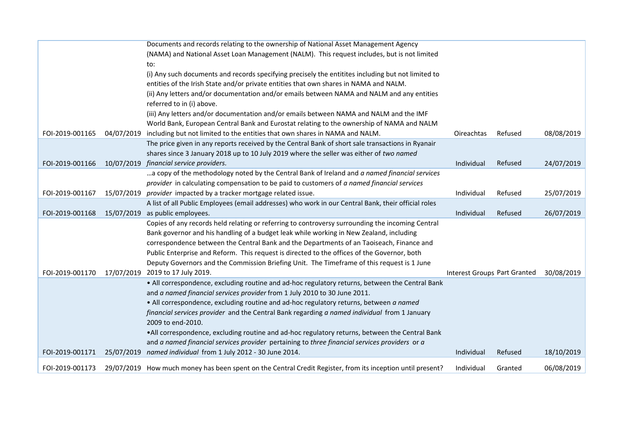|                 |            | Documents and records relating to the ownership of National Asset Management Agency                        |                                     |         |            |
|-----------------|------------|------------------------------------------------------------------------------------------------------------|-------------------------------------|---------|------------|
|                 |            | (NAMA) and National Asset Loan Management (NALM). This request includes, but is not limited                |                                     |         |            |
|                 |            | to:                                                                                                        |                                     |         |            |
|                 |            | (i) Any such documents and records specifying precisely the entitites including but not limited to         |                                     |         |            |
|                 |            | entities of the Irish State and/or private entities that own shares in NAMA and NALM.                      |                                     |         |            |
|                 |            | (ii) Any letters and/or documentation and/or emails between NAMA and NALM and any entities                 |                                     |         |            |
|                 |            | referred to in (i) above.                                                                                  |                                     |         |            |
|                 |            | (iii) Any letters and/or documentation and/or emails between NAMA and NALM and the IMF                     |                                     |         |            |
|                 |            | World Bank, European Central Bank and Eurostat relating to the ownership of NAMA and NALM                  |                                     |         |            |
| FOI-2019-001165 | 04/07/2019 | including but not limited to the entities that own shares in NAMA and NALM.                                | Oireachtas                          | Refused | 08/08/2019 |
|                 |            | The price given in any reports received by the Central Bank of short sale transactions in Ryanair          |                                     |         |            |
|                 |            | shares since 3 January 2018 up to 10 July 2019 where the seller was either of two named                    |                                     |         |            |
| FOI-2019-001166 | 10/07/2019 | financial service providers.                                                                               | Individual                          | Refused | 24/07/2019 |
|                 |            | a copy of the methodology noted by the Central Bank of Ireland and a named financial services              |                                     |         |            |
|                 |            | provider in calculating compensation to be paid to customers of a named financial services                 |                                     |         |            |
| FOI-2019-001167 | 15/07/2019 | provider impacted by a tracker mortgage related issue.                                                     | Individual                          | Refused | 25/07/2019 |
|                 |            | A list of all Public Employees (email addresses) who work in our Central Bank, their official roles        |                                     |         |            |
| FOI-2019-001168 |            | 15/07/2019 as public employees.                                                                            | Individual                          | Refused | 26/07/2019 |
|                 |            | Copies of any records held relating or referring to controversy surrounding the incoming Central           |                                     |         |            |
|                 |            | Bank governor and his handling of a budget leak while working in New Zealand, including                    |                                     |         |            |
|                 |            | correspondence between the Central Bank and the Departments of an Taoiseach, Finance and                   |                                     |         |            |
|                 |            | Public Enterprise and Reform. This request is directed to the offices of the Governor, both                |                                     |         |            |
|                 |            | Deputy Governors and the Commission Briefing Unit. The Timeframe of this request is 1 June                 |                                     |         |            |
| FOI-2019-001170 |            | 17/07/2019 2019 to 17 July 2019.                                                                           | <b>Interest Groups Part Granted</b> |         | 30/08/2019 |
|                 |            | . All correspondence, excluding routine and ad-hoc regulatory returns, between the Central Bank            |                                     |         |            |
|                 |            | and a named financial services provider from 1 July 2010 to 30 June 2011.                                  |                                     |         |            |
|                 |            | . All correspondence, excluding routine and ad-hoc regulatory returns, between a named                     |                                     |         |            |
|                 |            | financial services provider and the Central Bank regarding a named individual from 1 January               |                                     |         |            |
|                 |            | 2009 to end-2010.                                                                                          |                                     |         |            |
|                 |            | .All correspondence, excluding routine and ad-hoc regulatory returns, between the Central Bank             |                                     |         |            |
|                 |            | and a named financial services provider pertaining to three financial services providers or a              |                                     |         |            |
| FOI-2019-001171 |            | 25/07/2019 named individual from 1 July 2012 - 30 June 2014.                                               | Individual                          | Refused | 18/10/2019 |
| FOI-2019-001173 |            | 29/07/2019 How much money has been spent on the Central Credit Register, from its inception until present? | Individual                          | Granted | 06/08/2019 |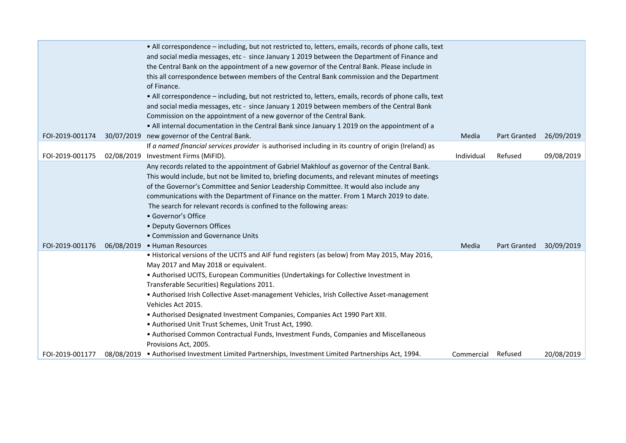|                 | . All correspondence - including, but not restricted to, letters, emails, records of phone calls, text<br>and social media messages, etc - since January 1 2019 between the Department of Finance and<br>the Central Bank on the appointment of a new governor of the Central Bank. Please include in<br>this all correspondence between members of the Central Bank commission and the Department<br>of Finance.<br>. All correspondence - including, but not restricted to, letters, emails, records of phone calls, text<br>and social media messages, etc - since January 1 2019 between members of the Central Bank<br>Commission on the appointment of a new governor of the Central Bank.<br>. All internal documentation in the Central Bank since January 1 2019 on the appointment of a |            |                     |            |
|-----------------|---------------------------------------------------------------------------------------------------------------------------------------------------------------------------------------------------------------------------------------------------------------------------------------------------------------------------------------------------------------------------------------------------------------------------------------------------------------------------------------------------------------------------------------------------------------------------------------------------------------------------------------------------------------------------------------------------------------------------------------------------------------------------------------------------|------------|---------------------|------------|
| FOI-2019-001174 | 30/07/2019 new governor of the Central Bank.                                                                                                                                                                                                                                                                                                                                                                                                                                                                                                                                                                                                                                                                                                                                                      | Media      | <b>Part Granted</b> | 26/09/2019 |
| FOI-2019-001175 | If a named financial services provider is authorised including in its country of origin (Ireland) as<br>02/08/2019 Investment Firms (MiFID).                                                                                                                                                                                                                                                                                                                                                                                                                                                                                                                                                                                                                                                      | Individual | Refused             | 09/08/2019 |
|                 | Any records related to the appointment of Gabriel Makhlouf as governor of the Central Bank.<br>This would include, but not be limited to, briefing documents, and relevant minutes of meetings<br>of the Governor's Committee and Senior Leadership Committee. It would also include any<br>communications with the Department of Finance on the matter. From 1 March 2019 to date.<br>The search for relevant records is confined to the following areas:<br>• Governor's Office<br>• Deputy Governors Offices<br>• Commission and Governance Units                                                                                                                                                                                                                                              |            |                     |            |
| FOI-2019-001176 | 06/08/2019 • Human Resources                                                                                                                                                                                                                                                                                                                                                                                                                                                                                                                                                                                                                                                                                                                                                                      | Media      | <b>Part Granted</b> | 30/09/2019 |
|                 | . Historical versions of the UCITS and AIF fund registers (as below) from May 2015, May 2016,<br>May 2017 and May 2018 or equivalent.<br>• Authorised UCITS, European Communities (Undertakings for Collective Investment in<br>Transferable Securities) Regulations 2011.<br>• Authorised Irish Collective Asset-management Vehicles, Irish Collective Asset-management<br>Vehicles Act 2015.<br>• Authorised Designated Investment Companies, Companies Act 1990 Part XIII.<br>• Authorised Unit Trust Schemes, Unit Trust Act, 1990.<br>• Authorised Common Contractual Funds, Investment Funds, Companies and Miscellaneous<br>Provisions Act, 2005.                                                                                                                                          |            |                     |            |
| FOI-2019-001177 | 08/08/2019 • Authorised Investment Limited Partnerships, Investment Limited Partnerships Act, 1994.                                                                                                                                                                                                                                                                                                                                                                                                                                                                                                                                                                                                                                                                                               | Commercial | Refused             | 20/08/2019 |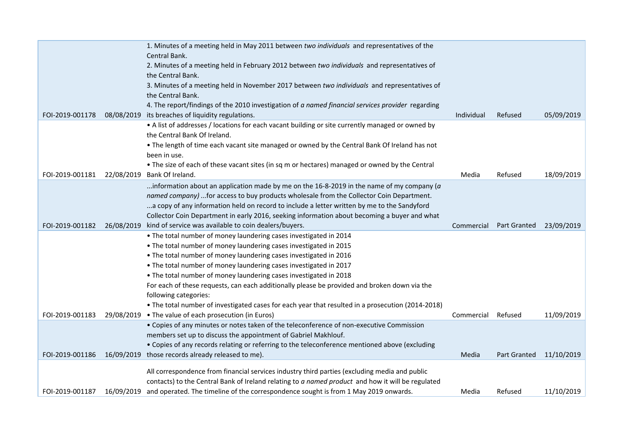|                 | 1. Minutes of a meeting held in May 2011 between two individuals and representatives of the                                                                                                        |            |                     |            |
|-----------------|----------------------------------------------------------------------------------------------------------------------------------------------------------------------------------------------------|------------|---------------------|------------|
|                 | Central Bank.                                                                                                                                                                                      |            |                     |            |
|                 | 2. Minutes of a meeting held in February 2012 between two individuals and representatives of                                                                                                       |            |                     |            |
|                 | the Central Bank.                                                                                                                                                                                  |            |                     |            |
|                 | 3. Minutes of a meeting held in November 2017 between two individuals and representatives of                                                                                                       |            |                     |            |
|                 | the Central Bank.                                                                                                                                                                                  |            |                     |            |
|                 | 4. The report/findings of the 2010 investigation of a named financial services provider regarding                                                                                                  |            |                     |            |
| FOI-2019-001178 | 08/08/2019 its breaches of liquidity regulations.                                                                                                                                                  | Individual | Refused             | 05/09/2019 |
|                 | • A list of addresses / locations for each vacant building or site currently managed or owned by                                                                                                   |            |                     |            |
|                 | the Central Bank Of Ireland.                                                                                                                                                                       |            |                     |            |
|                 | . The length of time each vacant site managed or owned by the Central Bank Of Ireland has not                                                                                                      |            |                     |            |
|                 | been in use.                                                                                                                                                                                       |            |                     |            |
|                 | • The size of each of these vacant sites (in sq m or hectares) managed or owned by the Central                                                                                                     |            |                     |            |
| FOI-2019-001181 | 22/08/2019 Bank Of Ireland.                                                                                                                                                                        | Media      | Refused             | 18/09/2019 |
|                 | information about an application made by me on the 16-8-2019 in the name of my company ( $a$                                                                                                       |            |                     |            |
|                 | named company) for access to buy products wholesale from the Collector Coin Department.                                                                                                            |            |                     |            |
|                 | a copy of any information held on record to include a letter written by me to the Sandyford                                                                                                        |            |                     |            |
|                 | Collector Coin Department in early 2016, seeking information about becoming a buyer and what                                                                                                       |            |                     |            |
| FOI-2019-001182 | 26/08/2019 kind of service was available to coin dealers/buyers.                                                                                                                                   | Commercial | <b>Part Granted</b> | 23/09/2019 |
|                 | . The total number of money laundering cases investigated in 2014                                                                                                                                  |            |                     |            |
|                 | . The total number of money laundering cases investigated in 2015                                                                                                                                  |            |                     |            |
|                 | . The total number of money laundering cases investigated in 2016                                                                                                                                  |            |                     |            |
|                 | . The total number of money laundering cases investigated in 2017                                                                                                                                  |            |                     |            |
|                 | . The total number of money laundering cases investigated in 2018                                                                                                                                  |            |                     |            |
|                 | For each of these requests, can each additionally please be provided and broken down via the                                                                                                       |            |                     |            |
|                 | following categories:                                                                                                                                                                              |            |                     |            |
|                 | • The total number of investigated cases for each year that resulted in a prosecution (2014-2018)                                                                                                  |            |                     |            |
| FOI-2019-001183 | 29/08/2019 • The value of each prosecution (in Euros)                                                                                                                                              | Commercial | Refused             | 11/09/2019 |
|                 | • Copies of any minutes or notes taken of the teleconference of non-executive Commission                                                                                                           |            |                     |            |
|                 | members set up to discuss the appointment of Gabriel Makhlouf.                                                                                                                                     |            |                     |            |
|                 |                                                                                                                                                                                                    |            |                     |            |
|                 | • Copies of any records relating or referring to the teleconference mentioned above (excluding                                                                                                     |            |                     |            |
| FOI-2019-001186 | 16/09/2019 those records already released to me).                                                                                                                                                  | Media      | Part Granted        | 11/10/2019 |
|                 |                                                                                                                                                                                                    |            |                     |            |
|                 | All correspondence from financial services industry third parties (excluding media and public<br>contacts) to the Central Bank of Ireland relating to a named product and how it will be regulated |            |                     |            |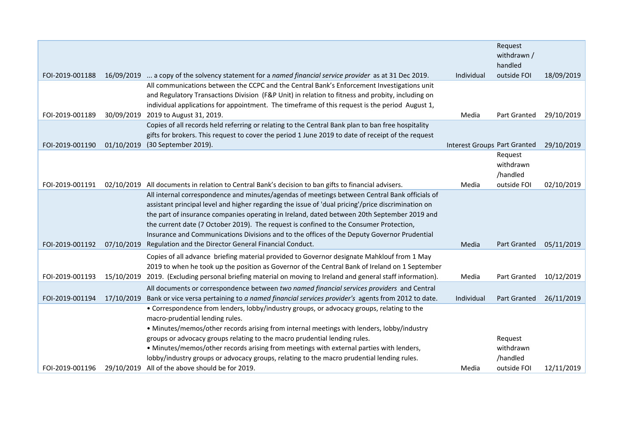| Request<br>withdrawn /<br>handled<br>outside FOI<br>18/09/2019<br>FOI-2019-001188<br>16/09/2019  a copy of the solvency statement for a named financial service provider as at 31 Dec 2019.<br>Individual<br>All communications between the CCPC and the Central Bank's Enforcement Investigations unit<br>and Regulatory Transactions Division (F&P Unit) in relation to fitness and probity, including on<br>individual applications for appointment. The timeframe of this request is the period August 1,<br>2019 to August 31, 2019.<br>FOI-2019-001189<br>30/09/2019<br><b>Part Granted</b><br>29/10/2019<br>Media<br>Copies of all records held referring or relating to the Central Bank plan to ban free hospitality<br>gifts for brokers. This request to cover the period 1 June 2019 to date of receipt of the request<br>FOI-2019-001190<br>01/10/2019<br>(30 September 2019).<br><b>Interest Groups Part Granted</b><br>29/10/2019<br>Request<br>withdrawn<br>/handled<br>FOI-2019-001191<br>Media<br>outside FOI<br>02/10/2019<br>02/10/2019<br>All documents in relation to Central Bank's decision to ban gifts to financial advisers.<br>All internal correspondence and minutes/agendas of meetings between Central Bank officials of |
|----------------------------------------------------------------------------------------------------------------------------------------------------------------------------------------------------------------------------------------------------------------------------------------------------------------------------------------------------------------------------------------------------------------------------------------------------------------------------------------------------------------------------------------------------------------------------------------------------------------------------------------------------------------------------------------------------------------------------------------------------------------------------------------------------------------------------------------------------------------------------------------------------------------------------------------------------------------------------------------------------------------------------------------------------------------------------------------------------------------------------------------------------------------------------------------------------------------------------------------------------------|
|                                                                                                                                                                                                                                                                                                                                                                                                                                                                                                                                                                                                                                                                                                                                                                                                                                                                                                                                                                                                                                                                                                                                                                                                                                                          |
|                                                                                                                                                                                                                                                                                                                                                                                                                                                                                                                                                                                                                                                                                                                                                                                                                                                                                                                                                                                                                                                                                                                                                                                                                                                          |
|                                                                                                                                                                                                                                                                                                                                                                                                                                                                                                                                                                                                                                                                                                                                                                                                                                                                                                                                                                                                                                                                                                                                                                                                                                                          |
|                                                                                                                                                                                                                                                                                                                                                                                                                                                                                                                                                                                                                                                                                                                                                                                                                                                                                                                                                                                                                                                                                                                                                                                                                                                          |
|                                                                                                                                                                                                                                                                                                                                                                                                                                                                                                                                                                                                                                                                                                                                                                                                                                                                                                                                                                                                                                                                                                                                                                                                                                                          |
|                                                                                                                                                                                                                                                                                                                                                                                                                                                                                                                                                                                                                                                                                                                                                                                                                                                                                                                                                                                                                                                                                                                                                                                                                                                          |
|                                                                                                                                                                                                                                                                                                                                                                                                                                                                                                                                                                                                                                                                                                                                                                                                                                                                                                                                                                                                                                                                                                                                                                                                                                                          |
|                                                                                                                                                                                                                                                                                                                                                                                                                                                                                                                                                                                                                                                                                                                                                                                                                                                                                                                                                                                                                                                                                                                                                                                                                                                          |
|                                                                                                                                                                                                                                                                                                                                                                                                                                                                                                                                                                                                                                                                                                                                                                                                                                                                                                                                                                                                                                                                                                                                                                                                                                                          |
|                                                                                                                                                                                                                                                                                                                                                                                                                                                                                                                                                                                                                                                                                                                                                                                                                                                                                                                                                                                                                                                                                                                                                                                                                                                          |
|                                                                                                                                                                                                                                                                                                                                                                                                                                                                                                                                                                                                                                                                                                                                                                                                                                                                                                                                                                                                                                                                                                                                                                                                                                                          |
|                                                                                                                                                                                                                                                                                                                                                                                                                                                                                                                                                                                                                                                                                                                                                                                                                                                                                                                                                                                                                                                                                                                                                                                                                                                          |
|                                                                                                                                                                                                                                                                                                                                                                                                                                                                                                                                                                                                                                                                                                                                                                                                                                                                                                                                                                                                                                                                                                                                                                                                                                                          |
|                                                                                                                                                                                                                                                                                                                                                                                                                                                                                                                                                                                                                                                                                                                                                                                                                                                                                                                                                                                                                                                                                                                                                                                                                                                          |
|                                                                                                                                                                                                                                                                                                                                                                                                                                                                                                                                                                                                                                                                                                                                                                                                                                                                                                                                                                                                                                                                                                                                                                                                                                                          |
|                                                                                                                                                                                                                                                                                                                                                                                                                                                                                                                                                                                                                                                                                                                                                                                                                                                                                                                                                                                                                                                                                                                                                                                                                                                          |
| assistant principal level and higher regarding the issue of 'dual pricing'/price discrimination on                                                                                                                                                                                                                                                                                                                                                                                                                                                                                                                                                                                                                                                                                                                                                                                                                                                                                                                                                                                                                                                                                                                                                       |
| the part of insurance companies operating in Ireland, dated between 20th September 2019 and                                                                                                                                                                                                                                                                                                                                                                                                                                                                                                                                                                                                                                                                                                                                                                                                                                                                                                                                                                                                                                                                                                                                                              |
| the current date (7 October 2019). The request is confined to the Consumer Protection,                                                                                                                                                                                                                                                                                                                                                                                                                                                                                                                                                                                                                                                                                                                                                                                                                                                                                                                                                                                                                                                                                                                                                                   |
| Insurance and Communications Divisions and to the offices of the Deputy Governor Prudential                                                                                                                                                                                                                                                                                                                                                                                                                                                                                                                                                                                                                                                                                                                                                                                                                                                                                                                                                                                                                                                                                                                                                              |
| FOI-2019-001192<br>07/10/2019<br>Regulation and the Director General Financial Conduct.<br>Media<br>05/11/2019<br><b>Part Granted</b>                                                                                                                                                                                                                                                                                                                                                                                                                                                                                                                                                                                                                                                                                                                                                                                                                                                                                                                                                                                                                                                                                                                    |
| Copies of all advance briefing material provided to Governor designate Mahklouf from 1 May                                                                                                                                                                                                                                                                                                                                                                                                                                                                                                                                                                                                                                                                                                                                                                                                                                                                                                                                                                                                                                                                                                                                                               |
| 2019 to when he took up the position as Governor of the Central Bank of Ireland on 1 September                                                                                                                                                                                                                                                                                                                                                                                                                                                                                                                                                                                                                                                                                                                                                                                                                                                                                                                                                                                                                                                                                                                                                           |
| FOI-2019-001193<br>15/10/2019<br>2019. (Excluding personal briefing material on moving to Ireland and general staff information).<br>10/12/2019<br>Media<br><b>Part Granted</b>                                                                                                                                                                                                                                                                                                                                                                                                                                                                                                                                                                                                                                                                                                                                                                                                                                                                                                                                                                                                                                                                          |
| All documents or correspondence between two named financial services providers and Central                                                                                                                                                                                                                                                                                                                                                                                                                                                                                                                                                                                                                                                                                                                                                                                                                                                                                                                                                                                                                                                                                                                                                               |
| FOI-2019-001194<br>Bank or vice versa pertaining to a named financial services provider's agents from 2012 to date.<br>26/11/2019<br>17/10/2019<br>Individual<br>Part Granted                                                                                                                                                                                                                                                                                                                                                                                                                                                                                                                                                                                                                                                                                                                                                                                                                                                                                                                                                                                                                                                                            |
| • Correspondence from lenders, lobby/industry groups, or advocacy groups, relating to the                                                                                                                                                                                                                                                                                                                                                                                                                                                                                                                                                                                                                                                                                                                                                                                                                                                                                                                                                                                                                                                                                                                                                                |
| macro-prudential lending rules.                                                                                                                                                                                                                                                                                                                                                                                                                                                                                                                                                                                                                                                                                                                                                                                                                                                                                                                                                                                                                                                                                                                                                                                                                          |
| • Minutes/memos/other records arising from internal meetings with lenders, lobby/industry                                                                                                                                                                                                                                                                                                                                                                                                                                                                                                                                                                                                                                                                                                                                                                                                                                                                                                                                                                                                                                                                                                                                                                |
| groups or advocacy groups relating to the macro prudential lending rules.<br>Request                                                                                                                                                                                                                                                                                                                                                                                                                                                                                                                                                                                                                                                                                                                                                                                                                                                                                                                                                                                                                                                                                                                                                                     |
| . Minutes/memos/other records arising from meetings with external parties with lenders,<br>withdrawn                                                                                                                                                                                                                                                                                                                                                                                                                                                                                                                                                                                                                                                                                                                                                                                                                                                                                                                                                                                                                                                                                                                                                     |
| lobby/industry groups or advocacy groups, relating to the macro prudential lending rules.<br>/handled                                                                                                                                                                                                                                                                                                                                                                                                                                                                                                                                                                                                                                                                                                                                                                                                                                                                                                                                                                                                                                                                                                                                                    |
| FOI-2019-001196<br>29/10/2019<br>All of the above should be for 2019.<br>outside FOI<br>12/11/2019<br>Media                                                                                                                                                                                                                                                                                                                                                                                                                                                                                                                                                                                                                                                                                                                                                                                                                                                                                                                                                                                                                                                                                                                                              |